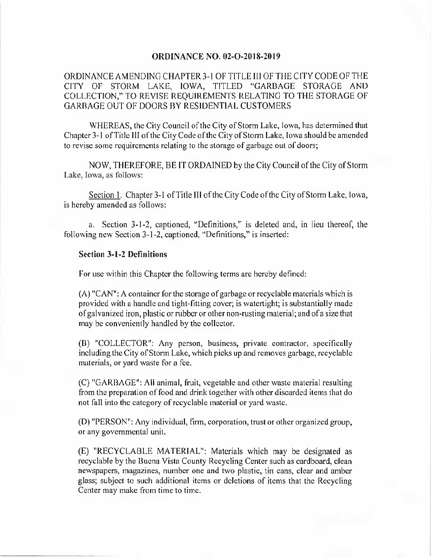#### **ORDINANCE NO. 02-O-2018-2019**

# ORDINANCE AMENDING CHAPTER 3- <sup>1</sup> OF TITLE III OF THE CITY CODE OF THE CITY OF STORM LAKE, IOWA, TITLED "GARBAGE STORAGE AND COLLECTION," TO REVISE REQUIREMENTS RELATING TO THE STORAGE OF GARBAGE OUT OF DOORS BY RESIDENTIAL CUSTOMERS

WHEREAS, the City Council of the City of Storm Lake, Iowa, has determined that Chapter 3-1 of Title III of the City Code of the City of Storm Lake, Iowa should be amended to revise some requirements relating to the storage of garbage out of doors;

NOW, THEREFORE, BE IT ORDAINED by the City Council of the City of Storm Lake, Iowa, as follows:

Section 1. Chapter 3-1 of Title III of the City Code of the City of Storm Lake, Iowa, is hereby amended as follows:

a. Section 3-1-2, captioned, "Definitions," is deleted and, in lieu thereof, the following new Section 3-1-2, captioned, "Definitions," is inserted:

#### Section 3-1-2 Definitions

For use within this Chapter the following terms are hereby defined:

 $(A)$  "CAN": A container for the storage of garbage or recyclable materials which is provided with a handle and tight- fitting cover; is watertight; is substantially made ofgalvanized iron, plastic or rubber or other non-rusting material; and of a size that may be conveniently handled by the collector.

B) " COLLECTOR": Any person, business, private contractor, specifically including the City of Storm Lake, which picks up and removes garbage, recyclable materials, or yard waste for a fee.

C) " GARBAGE": All animal, fruit, vegetable and other waste material resulting from the preparation of food and drink together with other discarded items that do not fall into the category of recyclable material or yard waste.

D)" PERSON": Any individual, firm, corporation, trust or other organized group, or any governmental unit.

E) " RECYCLABLE MATERIAL": Materials which may be designated as recyclable by the Buena Vista County Recycling Center such as cardboard, clean newspapers, magazines, number one and two plastic, tin cans, clear and amber glass; subject to such additional items or deletions of items that the Recycling Center may make from time to time.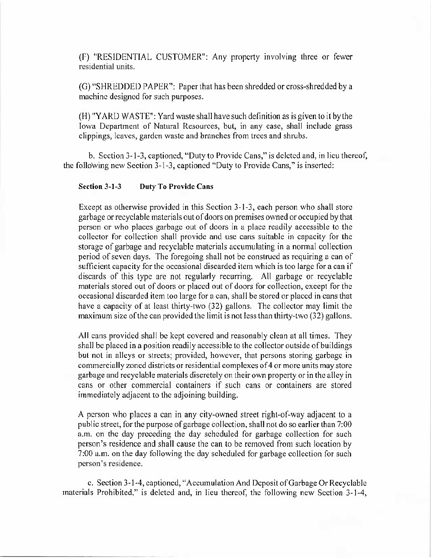(F) "RESIDENTIAL CUSTOMER": Any property involving three or fewer residential units.

G) "SHREDDED PAPER": Paper that has been shredded or cross-shredded by a machine designed for such purposes.

H)" YARD WASTE": Yard waste shall have such definition as is given to it by the Iowa Department of Natural Resources, but, in any case, shall include grass clippings, leaves, garden waste and branches from trees and shrubs.

b. Section 3-1-3, captioned, "Duty to Provide Cans," is deleted and, in lieu thereof, the following new Section 3-1-3, captioned "Duty to Provide Cans," is inserted:

#### Section 3-1-3 Duty To Provide Cans

Except as otherwise provided in this Section 3-1-3, each person who shall store garbage or recyclable materials out of doors on premises owned or occupied by that person or who places garbage out of doors in a place readily accessible to the collector for collection shall provide and use cans suitable in capacity for the storage of garbage and recyclable materials accumulating in a normal collection period of seven days. The foregoing shall not be construed as requiring a can of sufficient capacity for the occasional discarded item which is too large for a can if discards of this type are not regularly recurring. All garbage or recyclable materials stored out of doors or placed out of doors for collection, except for the occasional discarded item too large for a can, shall be stored or placed in cans that have a capacity of at least thirty-two (32) gallons. The collector may limit the maximum size of the can provided the limit is not less than thirty-two (32) gallons.

All cans provided shall be kept covered and reasonably clean at all times. They shall be placed in a position readily accessible to the collector outside of buildings but not in alleys or streets; provided, however, that persons storing garbage in commercially zoned districts or residential complexes of 4 or more units may store garbage and recyclable materials discretely on their own property or in the alley in cans or other commercial containers if such cans or containers are stored immediately adjacent to the adjoining building.

A person who places a can in any city-owned street right-of-way adjacent to a public street, for the purpose of garbage collection, shall not do so earlier than 7:00 a.m. on the day preceding the day scheduled for garbage collection for such person's residence and shall cause the can to be removed from such location by 7: 00 a.m. on the day following the day scheduled for garbage collection for such person's residence.

c. Section 3- 1- 4, captioned," Accumulation And Deposit of Garbage Or Recyclable materials Prohibited," is deleted and, in lieu thereof, the following new Section 3-1-4,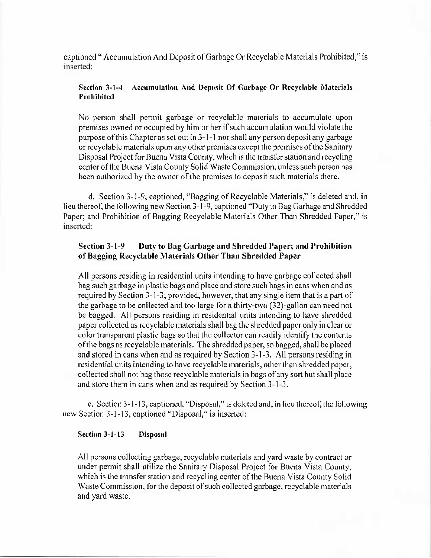captioned" Accumulation And Deposit of Garbage Or Recyclable Materials Prohibited," is inserted:

### Section 3-1-4 Accumulation And Deposit Of Garbage Or Recyclable Materials Prohibited

No person shall permit garbage or recyclable materials to accumulate upon premises owned or occupied by him or her ifsuch accumulation would violate the purpose ofthis Chapter as set out in 3- 1- <sup>1</sup> nor shall any person deposit any garbage or recyclable materials upon any other premises except the premises ofthe Sanitary Disposal Project for Buena Vista County, which is the transfer station and recycling center ofthe Buena Vista County Solid Waste Commission, unless such person has been authorized by the owner of the premises to deposit such materials there.

d. Section 3-1-9, captioned, "Bagging of Recyclable Materials," is deleted and, in lieu thereof, the following new Section 3-1-9, captioned "Duty to Bag Garbage and Shredded Paper; and Prohibition of Bagging Recyclable Materials Other Than Shredded Paper," is inserted:

# Section 3-1-9 Duty to Bag Garbage and Shredded Paper; and Prohibition of Bagging Recyclable Materials Other Than Shredded Paper

All persons residing in residential units intending to have garbage collected shall bag such garbage in plastic bags and place and store such bags in cans when and as required by Section 3-1-3; provided, however, that any single item that is a part of the garbage to be collected and too large for a thirty-two( 32)-gallon can need not be bagged. All persons residing in residential units intending to have shredded paper collected as recyclable materials shall bag the shredded paper only in clear or color transparent plastic bags so that the collector can readily identify the contents ofthe bags as recyclable materials. The shredded paper, so bagged, shall be placed and stored in cans when and as required by Section 3-1-3. All persons residing in residential units intending to have recyclable materials, other than shredded paper, collected shall not bag those recyclable materials in bags of any sort but shall place and store them in cans when and as required by Section 3-1-3.

e. Section 3-1-13, captioned, "Disposal," is deleted and, in lieu thereof, the following new Section 3-1-13, captioned "Disposal," is inserted:

### Section 3-1-13 Disposal

All persons collecting garbage, recyclable materials and yard waste by contract or under permit shall utilize the Sanitary Disposal Project for Buena Vista County, which is the transfer station and recycling center of the Buena Vista County Solid Waste Commission, for the deposit of such collected garbage, recyclable materials and yard waste.